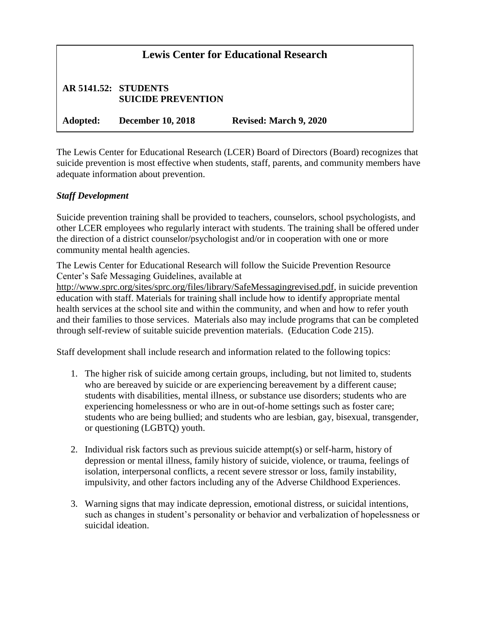| <b>Lewis Center for Educational Research</b> |                                                          |                        |
|----------------------------------------------|----------------------------------------------------------|------------------------|
|                                              | <b>AR 5141.52: STUDENTS</b><br><b>SUICIDE PREVENTION</b> |                        |
| Adopted:                                     | <b>December 10, 2018</b>                                 | Revised: March 9, 2020 |

The Lewis Center for Educational Research (LCER) Board of Directors (Board) recognizes that suicide prevention is most effective when students, staff, parents, and community members have adequate information about prevention.

## *Staff Development*

Suicide prevention training shall be provided to teachers, counselors, school psychologists, and other LCER employees who regularly interact with students. The training shall be offered under the direction of a district counselor/psychologist and/or in cooperation with one or more community mental health agencies.

The Lewis Center for Educational Research will follow the Suicide Prevention Resource Center's Safe Messaging Guidelines, available at

[http://www.sprc.org/sites/sprc.org/files/library/SafeMessagingrevised.pdf,](http://www.sprc.org/sites/sprc.org/files/library/SafeMessagingrevised.pdf) in suicide prevention education with staff. Materials for training shall include how to identify appropriate mental health services at the school site and within the community, and when and how to refer youth and their families to those services. Materials also may include programs that can be completed through self-review of suitable suicide prevention materials. (Education Code 215).

Staff development shall include research and information related to the following topics:

- 1. The higher risk of suicide among certain groups, including, but not limited to, students who are bereaved by suicide or are experiencing bereavement by a different cause; students with disabilities, mental illness, or substance use disorders; students who are experiencing homelessness or who are in out-of-home settings such as foster care; students who are being bullied; and students who are lesbian, gay, bisexual, transgender, or questioning (LGBTQ) youth.
- 2. Individual risk factors such as previous suicide attempt(s) or self-harm, history of depression or mental illness, family history of suicide, violence, or trauma, feelings of isolation, interpersonal conflicts, a recent severe stressor or loss, family instability, impulsivity, and other factors including any of the Adverse Childhood Experiences.
- 3. Warning signs that may indicate depression, emotional distress, or suicidal intentions, such as changes in student's personality or behavior and verbalization of hopelessness or suicidal ideation.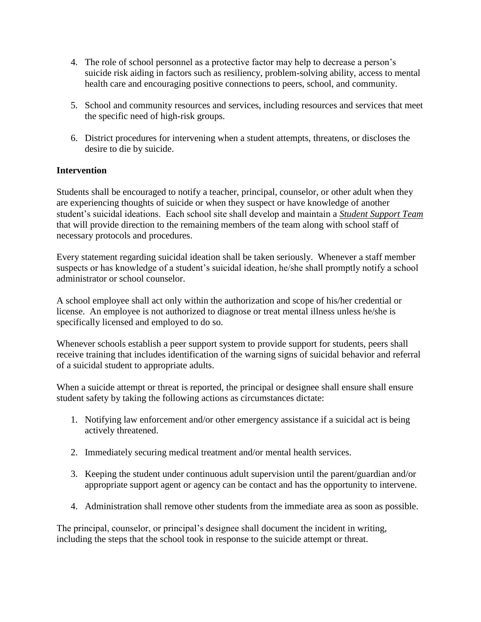- 4. The role of school personnel as a protective factor may help to decrease a person's suicide risk aiding in factors such as resiliency, problem-solving ability, access to mental health care and encouraging positive connections to peers, school, and community.
- 5. School and community resources and services, including resources and services that meet the specific need of high-risk groups.
- 6. District procedures for intervening when a student attempts, threatens, or discloses the desire to die by suicide.

## **Intervention**

Students shall be encouraged to notify a teacher, principal, counselor, or other adult when they are experiencing thoughts of suicide or when they suspect or have knowledge of another student's suicidal ideations. Each school site shall develop and maintain a *Student Support Team* that will provide direction to the remaining members of the team along with school staff of necessary protocols and procedures.

Every statement regarding suicidal ideation shall be taken seriously. Whenever a staff member suspects or has knowledge of a student's suicidal ideation, he/she shall promptly notify a school administrator or school counselor.

A school employee shall act only within the authorization and scope of his/her credential or license. An employee is not authorized to diagnose or treat mental illness unless he/she is specifically licensed and employed to do so.

Whenever schools establish a peer support system to provide support for students, peers shall receive training that includes identification of the warning signs of suicidal behavior and referral of a suicidal student to appropriate adults.

When a suicide attempt or threat is reported, the principal or designee shall ensure shall ensure student safety by taking the following actions as circumstances dictate:

- 1. Notifying law enforcement and/or other emergency assistance if a suicidal act is being actively threatened.
- 2. Immediately securing medical treatment and/or mental health services.
- 3. Keeping the student under continuous adult supervision until the parent/guardian and/or appropriate support agent or agency can be contact and has the opportunity to intervene.
- 4. Administration shall remove other students from the immediate area as soon as possible.

The principal, counselor, or principal's designee shall document the incident in writing, including the steps that the school took in response to the suicide attempt or threat.